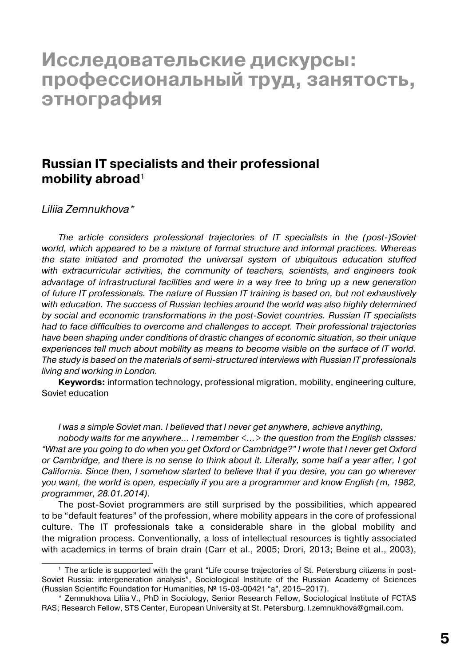# **Исследовательские дискурсы: профессиональный труд, занятость, этнография**

## **Russian IT specialists and their professional mobility abroad**<sup>1</sup>

#### *Liliia Zemnukhova\**

*The article considers professional trajectories of IT specialists in the (post-)Soviet world, which appeared to be a mixture of formal structure and informal practices. Whereas the state initiated and promoted the universal system of ubiquitous education stuffed with extracurricular activities, the community of teachers, scientists, and engineers took advantage of infrastructural facilities and were in a way free to bring up a new generation of future IT professionals. The nature of Russian IT training is based on, but not exhaustively with education. The success of Russian techies around the world was also highly determined by social and economic transformations in the post-Soviet countries. Russian IT specialists had to face difficulties to overcome and challenges to accept. Their professional trajectories have been shaping under conditions of drastic changes of economic situation, so their unique experiences tell much about mobility as means to become visible on the surface of IT world. The study is based on the materials of semi-structured interviews with Russian IT professionals living and working in London.*

**Keywords:** information technology, professional migration, mobility, engineering culture, Soviet education

*I was a simple Soviet man. I believed that I never get anywhere, achieve anything,*

*nobody waits for me anywhere… I remember <…> the question from the English classes: "What are you going to do when you get Oxford or Cambridge?" I wrote that I never get Oxford or Cambridge, and there is no sense to think about it. Literally, some half a year after, I got California. Since then, I somehow started to believe that if you desire, you can go wherever you want, the world is open, especially if you are a programmer and know English (m, 1982, programmer, 28.01.2014).*

The post-Soviet programmers are still surprised by the possibilities, which appeared to be "default features" of the profession, where mobility appears in the core of professional culture. The IT professionals take a considerable share in the global mobility and the migration process. Conventionally, a loss of intellectual resources is tightly associated with academics in terms of brain drain (Carr et al., 2005; Drori, 2013; Beine et al., 2003),

<sup>1</sup> The article is supported with the grant "Life course trajectories of St. Petersburg citizens in post-Soviet Russia: intergeneration analysis", Sociological Institute of the Russian Academy of Sciences (Russian Scientific Foundation for Humanities, № 15-03-00421 "а", 2015–2017).

<sup>\*</sup> Zemnukhova Liliia V., PhD in Sociology, Senior Research Fellow, Sociological Institute of FCTAS RAS; Research Fellow, STS Center, European University at St. Petersburg. l.zemnukhova@gmail.com.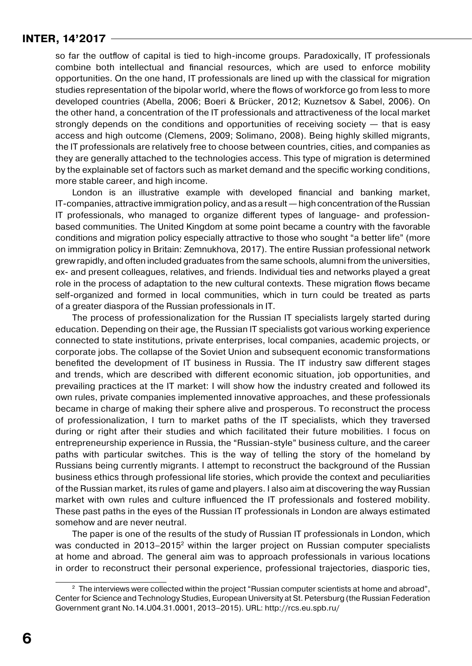so far the outflow of capital is tied to high-income groups. Paradoxically, IT professionals combine both intellectual and financial resources, which are used to enforce mobility opportunities. On the one hand, IT professionals are lined up with the classical for migration studies representation of the bipolar world, where the flows of workforce go from less to more developed countries (Abella, 2006; Boeri & Brücker, 2012; Kuznetsov & Sabel, 2006). On the other hand, a concentration of the IT professionals and attractiveness of the local market strongly depends on the conditions and opportunities of receiving society — that is easy access and high outcome (Clemens, 2009; Solimano, 2008). Being highly skilled migrants, the IT professionals are relatively free to choose between countries, cities, and companies as they are generally attached to the technologies access. This type of migration is determined by the explainable set of factors such as market demand and the specific working conditions, more stable career, and high income.

London is an illustrative example with developed financial and banking market, IT-companies, attractive immigration policy, and as a result  $-$  high concentration of the Russian IT professionals, who managed to organize different types of language- and professionbased communities. The United Kingdom at some point became a country with the favorable conditions and migration policy especially attractive to those who sought "a better life" (more on immigration policy in Britain: Zemnukhova, 2017). The entire Russian professional network grew rapidly, and often included graduates from the same schools, alumni from the universities, ex- and present colleagues, relatives, and friends. Individual ties and networks played a great role in the process of adaptation to the new cultural contexts. These migration flows became self-organized and formed in local communities, which in turn could be treated as parts of a greater diaspora of the Russian professionals in IT.

The process of professionalization for the Russian IT specialists largely started during education. Depending on their age, the Russian IT specialists got various working experience connected to state institutions, private enterprises, local companies, academic projects, or corporate jobs. The collapse of the Soviet Union and subsequent economic transformations benefited the development of IT business in Russia. The IT industry saw different stages and trends, which are described with different economic situation, job opportunities, and prevailing practices at the IT market: I will show how the industry created and followed its own rules, private companies implemented innovative approaches, and these professionals became in charge of making their sphere alive and prosperous. To reconstruct the process of professionalization, I turn to market paths of the IT specialists, which they traversed during or right after their studies and which facilitated their future mobilities. I focus on entrepreneurship experience in Russia, the "Russian-style" business culture, and the career paths with particular switches. This is the way of telling the story of the homeland by Russians being currently migrants. I attempt to reconstruct the background of the Russian business ethics through professional life stories, which provide the context and peculiarities of the Russian market, its rules of game and players. I also aim at discovering the way Russian market with own rules and culture influenced the IT professionals and fostered mobility. These past paths in the eyes of the Russian IT professionals in London are always estimated somehow and are never neutral.

The paper is one of the results of the study of Russian IT professionals in London, which was conducted in  $2013-2015<sup>2</sup>$  within the larger project on Russian computer specialists at home and abroad. The general aim was to approach professionals in various locations in order to reconstruct their personal experience, professional trajectories, diasporic ties,

 $2$  The interviews were collected within the project "Russian computer scientists at home and abroad", Center for Science and Technology Studies, European University at St. Petersburg (the Russian Federation Government grant No.14.U04.31.0001, 2013–2015). URL: http://rcs.eu.spb.ru/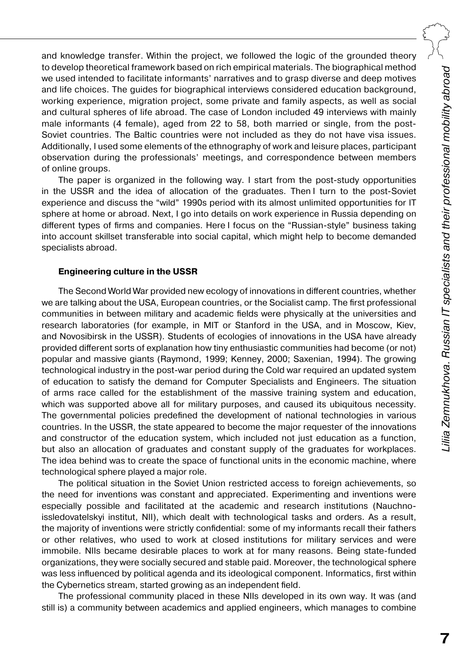and knowledge transfer. Within the project, we followed the logic of the grounded theory to develop theoretical framework based on rich empirical materials. The biographical method we used intended to facilitate informants' narratives and to grasp diverse and deep motives and life choices. The guides for biographical interviews considered education background, working experience, migration project, some private and family aspects, as well as social and cultural spheres of life abroad. The case of London included 49 interviews with mainly male informants (4 female), aged from 22 to 58, both married or single, from the post-Soviet countries. The Baltic countries were not included as they do not have visa issues. Additionally, I used some elements of the ethnography of work and leisure places, participant observation during the professionals' meetings, and correspondence between members of online groups.

The paper is organized in the following way. I start from the post-study opportunities in the USSR and the idea of allocation of the graduates. Then I turn to the post-Soviet experience and discuss the "wild" 1990s period with its almost unlimited opportunities for IT sphere at home or abroad. Next, I go into details on work experience in Russia depending on different types of firms and companies. Here I focus on the "Russian-style" business taking into account skillset transferable into social capital, which might help to become demanded specialists abroad.

#### **Engineering culture in the USSR**

The Second World War provided new ecology of innovations in different countries, whether we are talking about the USA, European countries, or the Socialist camp. The first professional communities in between military and academic fields were physically at the universities and research laboratories (for example, in MIT or Stanford in the USA, and in Moscow, Kiev, and Novosibirsk in the USSR). Students of ecologies of innovations in the USA have already provided different sorts of explanation how tiny enthusiastic communities had become (or not) popular and massive giants (Raymond, 1999; Kenney, 2000; Saxenian, 1994). The growing technological industry in the post-war period during the Cold war required an updated system of education to satisfy the demand for Computer Specialists and Engineers. The situation of arms race called for the establishment of the massive training system and education, which was supported above all for military purposes, and caused its ubiquitous necessity. The governmental policies predefined the development of national technologies in various countries. In the USSR, the state appeared to become the major requester of the innovations and constructor of the education system, which included not just education as a function, but also an allocation of graduates and constant supply of the graduates for workplaces. The idea behind was to create the space of functional units in the economic machine, where technological sphere played a major role.

The political situation in the Soviet Union restricted access to foreign achievements, so the need for inventions was constant and appreciated. Experimenting and inventions were especially possible and facilitated at the academic and research institutions (Nauchnoissledovatelskyi institut, NII), which dealt with technological tasks and orders. As a result, the majority of inventions were strictly confidential: some of my informants recall their fathers or other relatives, who used to work at closed institutions for military services and were immobile. NIIs became desirable places to work at for many reasons. Being state-funded organizations, they were socially secured and stable paid. Moreover, the technological sphere was less influenced by political agenda and its ideological component. Informatics, first within the Cybernetics stream, started growing as an independent field.

The professional community placed in these NIIs developed in its own way. It was (and still is) a community between academics and applied engineers, which manages to combine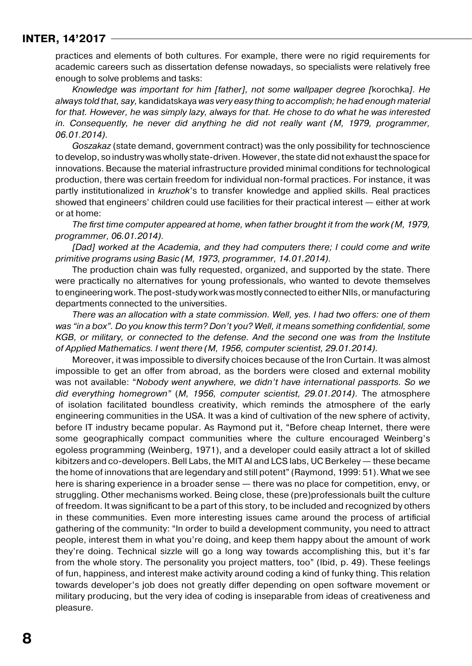practices and elements of both cultures. For example, there were no rigid requirements for academic careers such as dissertation defense nowadays, so specialists were relatively free enough to solve problems and tasks:

*Knowledge was important for him [father], not some wallpaper degree [*korochka*]. He always told that, say,* kandidatskaya *was very easy thing to accomplish; he had enough material for that. However, he was simply lazy, always for that. He chose to do what he was interested in. Consequently, he never did anything he did not really want (M, 1979, programmer, 06.01.2014).*

*Goszakaz* (state demand, government contract) was the only possibility for technoscience to develop, so industry was wholly state-driven. However, the state did not exhaust the space for innovations. Because the material infrastructure provided minimal conditions for technological production, there was certain freedom for individual non-formal practices. For instance, it was partly institutionalized in *kruzhok*'s to transfer knowledge and applied skills. Real practices showed that engineers' children could use facilities for their practical interest — either at work or at home:

*The first time computer appeared at home, when father brought it from the work (M, 1979, programmer, 06.01.2014).*

*[Dad] worked at the Academia, and they had computers there; I could come and write primitive programs using Basic (M, 1973, programmer, 14.01.2014).*

The production chain was fully requested, organized, and supported by the state. There were practically no alternatives for young professionals, who wanted to devote themselves to engineering work. The post-study work was mostly connected to either NIIs, or manufacturing departments connected to the universities.

*There was an allocation with a state commission. Well, yes. I had two offers: one of them was "in a box". Do you know this term? Don't you? Well, it means something confidential, some KGB, or military, or connected to the defense. And the second one was from the Institute of Applied Mathematics. I went there (M, 1956, computer scientist, 29.01.2014).*

Moreover, it was impossible to diversify choices because of the Iron Curtain. It was almost impossible to get an offer from abroad, as the borders were closed and external mobility was not available: "*Nobody went anywhere, we didn't have international passports. So we did everything homegrown"* (*M, 1956, computer scientist, 29.01.2014).* The atmosphere of isolation facilitated boundless creativity, which reminds the atmosphere of the early engineering communities in the USA. It was a kind of cultivation of the new sphere of activity, before IT industry became popular. As Raymond put it, "Before cheap Internet, there were some geographically compact communities where the culture encouraged Weinberg's egoless programming (Weinberg, 1971), and a developer could easily attract a lot of skilled kibitzers and co-developers. Bell Labs, the MIT AI and LCS labs, UC Berkeley — these became the home of innovations that are legendary and still potent" (Raymond, 1999: 51). What we see here is sharing experience in a broader sense — there was no place for competition, envy, or struggling. Other mechanisms worked. Being close, these (pre)professionals built the culture of freedom. It was significant to be a part of this story, to be included and recognized by others in these communities. Even more interesting issues came around the process of artificial gathering of the community: "In order to build a development community, you need to attract people, interest them in what you're doing, and keep them happy about the amount of work they're doing. Technical sizzle will go a long way towards accomplishing this, but it's far from the whole story. The personality you project matters, too" (Ibid, p. 49). These feelings of fun, happiness, and interest make activity around coding a kind of funky thing. This relation towards developer's job does not greatly differ depending on open software movement or military producing, but the very idea of coding is inseparable from ideas of creativeness and pleasure.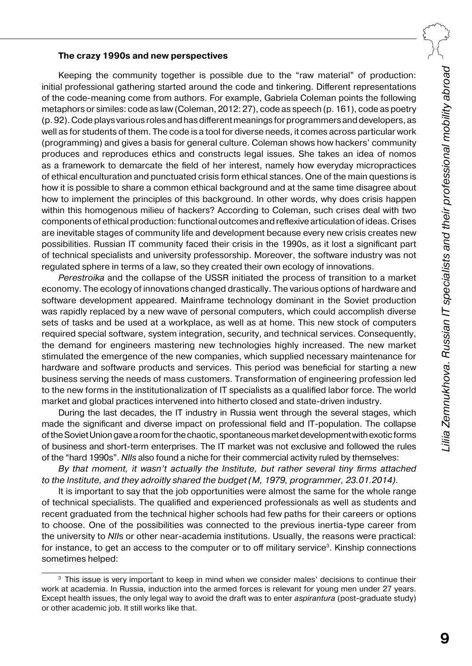#### **The crazy 1990s and new perspectives**

Keeping the community together is possible due to the "raw material" of production: initial professional gathering started around the code and tinkering. Different representations of the code-meaning come from authors. For example, Gabriela Coleman points the following metaphors or similes: code as law (Coleman, 2012: 27), code as speech (p. 161), code as poetry (p.92). Code plays various roles and has different meanings for programmers and developers, as well as for students of them. The code is a tool for diverse needs, it comes across particular work (programming) and gives a basis for general culture. Coleman shows how hackers' community produces and reproduces ethics and constructs legal issues. She takes an idea of nomos as a framework to demarcate the field of her interest, namely how everyday micropractices of ethical enculturation and punctuated crisis form ethical stances. One of the main questions is how it is possible to share a common ethical background and at the same time disagree about how to implement the principles of this background. In other words, why does crisis happen within this homogenous milieu of hackers? According to Coleman, such crises deal with two components of ethical production: functional outcomes and reflexive articulation ofideas. Crises are inevitable stages of community life and development because every new crisis creates new possibilities. Russian IT community faced their crisis in the 1990s, as it lost a significant part of technical specialists and university professorship. Moreover, the software industry was not regulated sphere in terms of a law, so they created their own ecology of innovations.

*Perestroika* and the collapse of the USSR initiated the process of transition to a market economy. The ecology of innovations changed drastically. The various options of hardware and software development appeared. Mainframe technology dominant in the Soviet production was rapidly replaced by a new wave of personal computers, which could accomplish diverse sets of tasks and be used at a workplace, as well as at home. This new stock of computers required special software, system integration, security, and technical services. Consequently, the demand for engineers mastering new technologies highly increased. The new market stimulated the emergence of the new companies, which supplied necessary maintenance for hardware and software products and services. This period was beneficial for starting a new business serving the needs of mass customers. Transformation of engineering profession led to the new forms in the institutionalization of IT specialists as a qualified labor force. The world market and global practices intervened into hitherto closed and state-driven industry.

During the last decades, the IT industry in Russia went through the several stages, which made the significant and diverse impact on professional field and IT-population. The collapse oftheSoviet Union gave aroom for thechaotic, spontaneous market development with exotic forms of business and short-term enterprises. The IT market was not exclusive and followed the rules of the "hard 1990s". *NIIs* also found a niche for their commercial activity ruled by themselves:

*By that moment, it wasn't actually the Institute, but rather several tiny firms attached to the Institute, and they adroitly shared the budget (M, 1979, programmer, 23.01.2014).*

It is important to say that the job opportunities were almost the same for the whole range of technical specialists. The qualified and experienced professionals as well as students and recent graduated from the technical higher schools had few paths for their careers or options to choose. One of the possibilities was connected to the previous inertia-type career from the university to *NII*s or other near-academia institutions. Usually, the reasons were practical: for instance, to get an access to the computer or to off military service<sup>3</sup>. Kinship connections sometimes helped:

<sup>&</sup>lt;sup>3</sup> This issue is very important to keep in mind when we consider males' decisions to continue their work at academia. In Russia, induction into the armed forces is relevant for young men under 27 years. Except health issues, the only legal way to avoid the draft was to enter *aspirantura* (post-graduate study) or other academic job. It still works like that.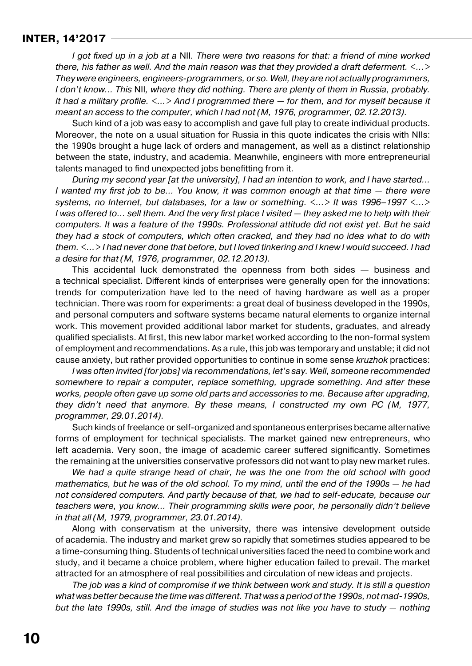*I got fixed up in a job at a* NII*. There were two reasons for that: a friend of mine worked there, his father as well. And the main reason was that they provided a draft deferment. <…> They were engineers, engineers-programmers, or so. Well, they are not actually programmers, I don't know… This* NII*, where they did nothing. There are plenty of them in Russia, probably. It had a military profile. <…> And I programmed there — for them, and for myself because it meant an access to the computer, which I had not (M, 1976, programmer, 02.12.2013).*

Such kind of a job was easy to accomplish and gave full play to create individual products. Moreover, the note on a usual situation for Russia in this quote indicates the crisis with NIIs: the 1990s brought a huge lack of orders and management, as well as a distinct relationship between the state, industry, and academia. Meanwhile, engineers with more entrepreneurial talents managed to find unexpected jobs benefitting from it.

*During my second year [at the university], I had an intention to work, and I have started… I wanted my first job to be… You know, it was common enough at that time — there were systems, no Internet, but databases, for a law or something. <…> It was 1996–1997 <…> I was offered to… sell them. And the very first place I visited — they asked me to help with their computers. It was a feature of the 1990s. Professional attitude did not exist yet. But he said they had a stock of computers, which often cracked, and they had no idea what to do with them. <…> I had never done that before, but I loved tinkering and I knew I would succeed. I had a desire for that (M, 1976, programmer, 02.12.2013).*

This accidental luck demonstrated the openness from both sides — business and a technical specialist. Different kinds of enterprises were generally open for the innovations: trends for computerization have led to the need of having hardware as well as a proper technician. There was room for experiments: a great deal of business developed in the 1990s, and personal computers and software systems became natural elements to organize internal work. This movement provided additional labor market for students, graduates, and already qualified specialists. At first, this new labor market worked according to the non-formal system of employment and recommendations. As a rule, this job was temporary and unstable; it did not cause anxiety, but rather provided opportunities to continue in some sense *kruzhok* practices:

*I was often invited [for jobs] via recommendations, let's say. Well, someone recommended somewhere to repair a computer, replace something, upgrade something. And after these works, people often gave up some old parts and accessories to me. Because after upgrading, they didn't need that anymore. By these means, I constructed my own PC (M, 1977, programmer, 29.01.2014).*

Such kinds of freelance or self-organized and spontaneous enterprises became alternative forms of employment for technical specialists. The market gained new entrepreneurs, who left academia. Very soon, the image of academic career suffered significantly. Sometimes the remaining at the universities conservative professors did not want to play new market rules.

*We had a quite strange head of chair, he was the one from the old school with good mathematics, but he was of the old school. To my mind, until the end of the 1990s — he had not considered computers. And partly because of that, we had to self-educate, because our teachers were, you know… Their programming skills were poor, he personally didn't believe in that all (M, 1979, programmer, 23.01.2014).*

Along with conservatism at the university, there was intensive development outside of academia. The industry and market grew so rapidly that sometimes studies appeared to be a time-consuming thing. Students of technical universities faced the need to combine work and study, and it became a choice problem, where higher education failed to prevail. The market attracted for an atmosphere of real possibilities and circulation of new ideas and projects.

*The job was a kind of compromise if we think between work and study. It is still a question what was better because the time was different. That was a period ofthe 1990s, not mad-1990s, but the late 1990s, still. And the image of studies was not like you have to study — nothing*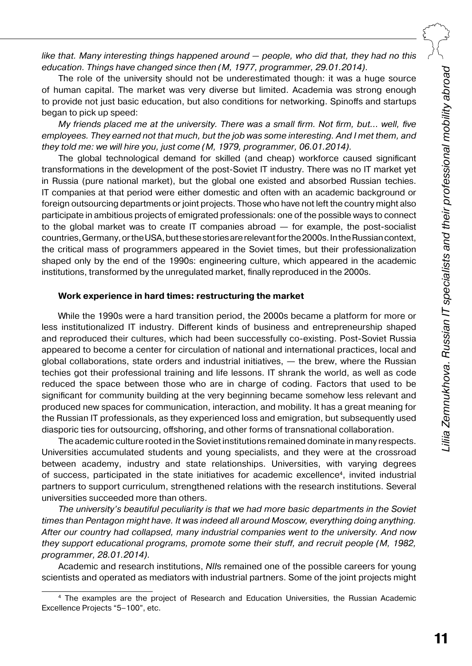*like that. Many interesting things happened around — people, who did that, they had no this education. Things have changed since then (M, 1977, programmer, 29.01.2014).*

The role of the university should not be underestimated though: it was a huge source of human capital. The market was very diverse but limited. Academia was strong enough to provide not just basic education, but also conditions for networking. Spinoffs and startups began to pick up speed:

*My friends placed me at the university. There was a small firm. Not firm, but… well, five employees. They earned not that much, but the job was some interesting. And I met them, and they told me: we will hire you, just come (M, 1979, programmer, 06.01.2014).*

The global technological demand for skilled (and cheap) workforce caused significant transformations in the development of the post-Soviet IT industry. There was no IT market yet in Russia (pure national market), but the global one existed and absorbed Russian techies. IT companies at that period were either domestic and often with an academic background or foreign outsourcing departments or joint projects. Those who have not left the country might also participate in ambitious projects of emigrated professionals: one of the possible ways to connect to the global market was to create IT companies abroad — for example, the post-socialist countries, Germany, or the USA, but these stories are relevant for the 2000s. In the Russian context, the critical mass of programmers appeared in the Soviet times, but their professionalization shaped only by the end of the 1990s: engineering culture, which appeared in the academic institutions, transformed by the unregulated market, finally reproduced in the 2000s.

#### **Work experience in hard times: restructuring the market**

While the 1990s were a hard transition period, the 2000s became a platform for more or less institutionalized IT industry. Different kinds of business and entrepreneurship shaped and reproduced their cultures, which had been successfully co-existing. Post-Soviet Russia appeared to become a center for circulation of national and international practices, local and global collaborations, state orders and industrial initiatives, — the brew, where the Russian techies got their professional training and life lessons. IT shrank the world, as well as code reduced the space between those who are in charge of coding. Factors that used to be significant for community building at the very beginning became somehow less relevant and produced new spaces for communication, interaction, and mobility. It has a great meaning for the Russian IT professionals, as they experienced loss and emigration, but subsequently used diasporic ties for outsourcing, offshoring, and other forms of transnational collaboration.

The academic culture rooted in the Soviet institutions remained dominate in many respects. Universities accumulated students and young specialists, and they were at the crossroad between academy, industry and state relationships. Universities, with varying degrees of success, participated in the state initiatives for academic excellence4, invited industrial partners to support curriculum, strengthened relations with the research institutions. Several universities succeeded more than others.

*The university's beautiful peculiarity is that we had more basic departments in the Soviet times than Pentagon might have. It was indeed all around Moscow, everything doing anything. After our country had collapsed, many industrial companies went to the university. And now they support educational programs, promote some their stuff, and recruit people (M, 1982, programmer, 28.01.2014).*

Academic and research institutions, *NII*s remained one of the possible careers for young scientists and operated as mediators with industrial partners. Some of the joint projects might

<sup>4</sup> The examples are the project of Research and Education Universities, the Russian Academic Excellence Projects "5–100", etc.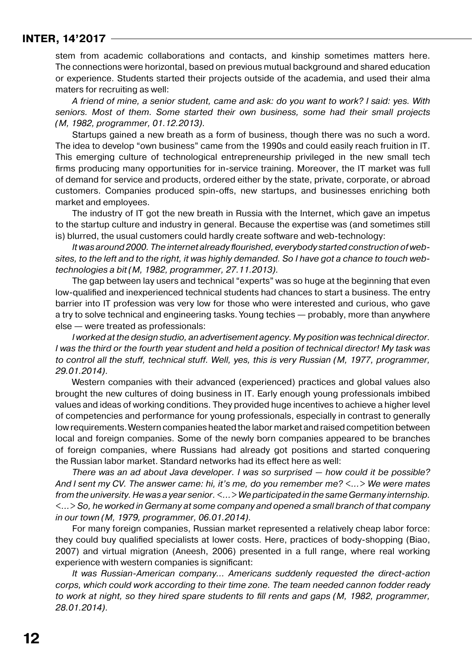stem from academic collaborations and contacts, and kinship sometimes matters here. The connections were horizontal, based on previous mutual background and shared education or experience. Students started their projects outside of the academia, and used their alma maters for recruiting as well:

*A friend of mine, a senior student, came and ask: do you want to work? I said: yes. With seniors. Most of them. Some started their own business, some had their small projects (M, 1982, programmer, 01.12.2013).*

Startups gained a new breath as a form of business, though there was no such a word. The idea to develop "own business" came from the 1990s and could easily reach fruition in IT. This emerging culture of technological entrepreneurship privileged in the new small tech firms producing many opportunities for in-service training. Moreover, the IT market was full of demand for service and products, ordered either by the state, private, corporate, or abroad customers. Companies produced spin-offs, new startups, and businesses enriching both market and employees.

The industry of IT got the new breath in Russia with the Internet, which gave an impetus to the startup culture and industry in general. Because the expertise was (and sometimes still is) blurred, the usual customers could hardly create software and web-technology:

*It was around 2000. The internet already flourished, everybody started construction of websites, to the left and to the right, it was highly demanded. So I have got a chance to touch webtechnologies a bit (M, 1982, programmer, 27.11.2013).*

The gap between lay users and technical "experts" was so huge at the beginning that even low-qualified and inexperienced technical students had chances to start a business. The entry barrier into IT profession was very low for those who were interested and curious, who gave a try to solve technical and engineering tasks. Young techies — probably, more than anywhere else — were treated as professionals:

*I worked at the design studio, an advertisement agency. My position was technical director. I was the third or the fourth year student and held a position of technical director! My task was to control all the stuff, technical stuff. Well, yes, this is very Russian (M, 1977, programmer, 29.01.2014).*

Western companies with their advanced (experienced) practices and global values also brought the new cultures of doing business in IT. Early enough young professionals imbibed values and ideas of working conditions. They provided huge incentives to achieve a higher level of competencies and performance for young professionals, especially in contrast to generally low requirements. Western companies heated the labor market and raised competition between local and foreign companies. Some of the newly born companies appeared to be branches of foreign companies, where Russians had already got positions and started conquering the Russian labor market. Standard networks had its effect here as well:

*There was an ad about Java developer. I was so surprised — how could it be possible? And I sent my CV. The answer came: hi, it's me, do you remember me? <…> We were mates from the university. He was a year senior. <…> We participated in the same Germany internship. <…> So, he worked in Germany at some company and opened a small branch of that company in our town (M, 1979, programmer, 06.01.2014).*

For many foreign companies, Russian market represented a relatively cheap labor force: they could buy qualified specialists at lower costs. Here, practices of body-shopping (Biao, 2007) and virtual migration (Aneesh, 2006) presented in a full range, where real working experience with western companies is significant:

*It was Russian-American company… Americans suddenly requested the direct-action corps, which could work according to their time zone. The team needed cannon fodder ready to work at night, so they hired spare students to fill rents and gaps (M, 1982, programmer, 28.01.2014).*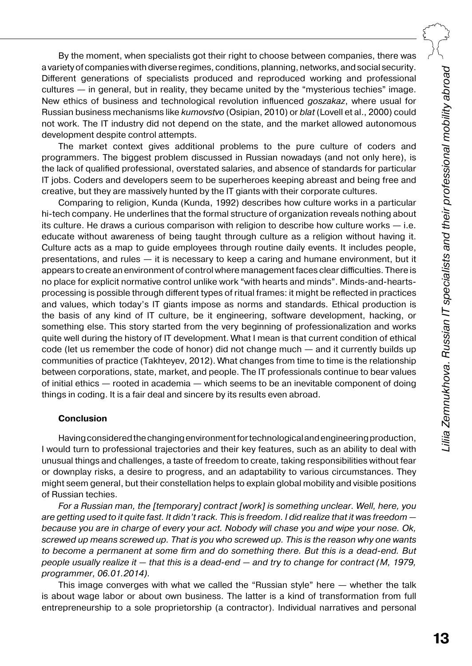By the moment, when specialists got their right to choose between companies, there was a variety of companies with diverse regimes, conditions, planning, networks, and social security. Different generations of specialists produced and reproduced working and professional cultures — in general, but in reality, they became united by the "mysterious techies" image. New ethics of business and technological revolution influenced *goszakaz*, where usual for Russian business mechanisms like *kumovstvo* (Osipian, 2010) or *blat* (Lovell et al., 2000) could not work. The IT industry did not depend on the state, and the market allowed autonomous development despite control attempts.

The market context gives additional problems to the pure culture of coders and programmers. The biggest problem discussed in Russian nowadays (and not only here), is the lack of qualified professional, overstated salaries, and absence of standards for particular IT jobs. Coders and developers seem to be superheroes keeping abreast and being free and creative, but they are massively hunted by the IT giants with their corporate cultures.

Comparing to religion, Kunda (Kunda, 1992) describes how culture works in a particular hi-tech company. He underlines that the formal structure of organization reveals nothing about its culture. He draws a curious comparison with religion to describe how culture works — i.e. educate without awareness of being taught through culture as a religion without having it. Culture acts as a map to guide employees through routine daily events. It includes people, presentations, and rules — it is necessary to keep a caring and humane environment, but it appears to create an environment of control where management faces clear difficulties. There is no place for explicit normative control unlike work "with hearts and minds". Minds-and-heartsprocessing is possible through different types of ritual frames: it might be reflected in practices and values, which today's IT giants impose as norms and standards. Ethical production is the basis of any kind of IT culture, be it engineering, software development, hacking, or something else. This story started from the very beginning of professionalization and works quite well during the history of IT development. What I mean is that current condition of ethical code (let us remember the code of honor) did not change much — and it currently builds up communities of practice (Takhteyev, 2012). What changes from time to time is the relationship between corporations, state, market, and people. The IT professionals continue to bear values of initial ethics — rooted in academia — which seems to be an inevitable component of doing things in coding. It is a fair deal and sincere by its results even abroad.

#### **Conclusion**

Having considered thechanging environment for technological and engineering production, I would turn to professional trajectories and their key features, such as an ability to deal with unusual things and challenges, a taste of freedom to create, taking responsibilities without fear or downplay risks, a desire to progress, and an adaptability to various circumstances. They might seem general, but their constellation helps to explain global mobility and visible positions of Russian techies.

*For a Russian man, the [temporary] contract [work] is something unclear. Well, here, you are getting used to it quite fast. It didn't rack. This is freedom. I did realize that it was freedom because you are in charge of every your act. Nobody will chase you and wipe your nose. Ok, screwed up means screwed up. That is you who screwed up. This is the reason why one wants to beсome a permanent at some firm and do something there. But this is a dead-end. But people usually realize it — that this is a dead-end — and try to change for contract (M, 1979, programmer, 06.01.2014).*

This image converges with what we called the "Russian style" here — whether the talk is about wage labor or about own business. The latter is a kind of transformation from full entrepreneurship to a sole proprietorship (a contractor). Individual narratives and personal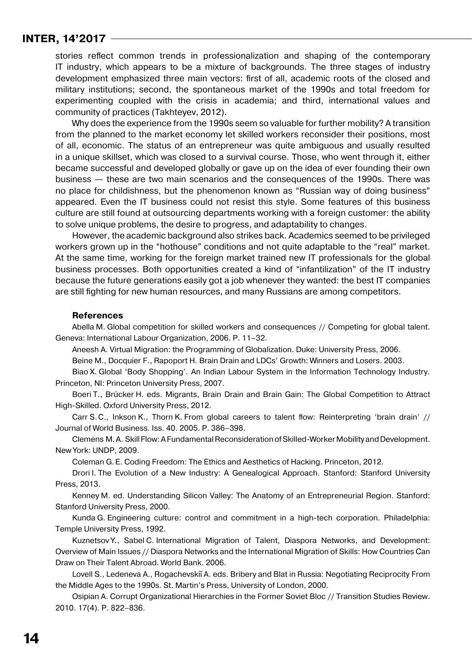stories reflect common trends in professionalization and shaping of the contemporary IT industry, which appears to be а mixture of backgrounds. The three stages of industry development emphasized three main vectors: first of all, academic roots of the closed and military institutions; second, the spontaneous market of the 1990s and total freedom for experimenting coupled with the crisis in academia; and third, international values and community of practices (Takhteyev, 2012).

Why does the experience from the 1990s seem so valuable for further mobility? A transition from the planned to the market economy let skilled workers reconsider their positions, most of all, economic. The status of an entrepreneur was quite ambiguous and usually resulted in a unique skillset, which was closed to a survival course. Those, who went through it, either became successful and developed globally or gave up on the idea of ever founding their own business — these are two main scenarios and the consequences of the 1990s. There was no place for childishness, but the phenomenon known as "Russian way of doing business" appeared. Even the IT business could not resist this style. Some features of this business culture are still found at outsourcing departments working with a foreign customer: the ability to solve unique problems, the desire to progress, and adaptability to changes.

However, the academic background also strikes back. Academics seemed to be privileged workers grown up in the "hothouse" conditions and not quite adaptable to the "real" market. At the same time, working for the foreign market trained new IT professionals for the global business processes. Both opportunities created a kind of "infantilization" of the IT industry because the future generations easily got a job whenever they wanted: the best IT companies are still fighting for new human resources, and many Russians are among competitors.

#### **References**

Abella M. Global competition for skilled workers and consequences // Competing for global talent. Geneva: International Labour Organization, 2006. P. 11–32.

Aneesh A. Virtual Migration: the Programming of Globalization. Duke: University Press, 2006.

Beine M., Docquier F., Rapoport H. Brain Drain and LDCs' Growth: Winners and Losers. 2003.

Biao X. Global 'Body Shopping'. An Indian Labour System in the Information Technology Industry. Princeton, NI: Princeton University Press, 2007.

Boeri T., Brücker H. eds. Migrants, Brain Drain and Brain Gain: The Global Competition to Attract High-Skilled. Oxford University Press, 2012.

Carr S.C., Inkson K., Thorn K. From global careers to talent flow: Reinterpreting 'brain drain' // Journal of World Business. Iss. 40. 2005. P. 386–398.

Clemens M.A. Skill Flow: AFundamental Reconsideration ofSkilled-Worker Mobility and Development. New York: UNDP, 2009.

Coleman G.E. Coding Freedom: The Ethics and Aesthetics of Hacking. Princeton, 2012.

Drori I. The Evolution of a New Industry: A Genealogical Approach. Stanford: Stanford University Press, 2013.

Kenney M. ed. Understanding Silicon Valley: The Anatomy of an Entrepreneurial Region. Stanford: Stanford University Press, 2000.

Kunda G. Engineering culture: control and commitment in a high-tech corporation. Philadelphia: Temple University Press, 1992.

Kuznetsov Y., Sabel C. International Migration of Talent, Diaspora Networks, and Development: Overview of Main Issues // Diaspora Networks and the International Migration of Skills: How Countries Can Draw on Their Talent Abroad. World Bank. 2006.

Lovell S., Ledeneva A., Rogachevskiῐ A. eds. Bribery and Blat in Russia: Negotiating Reciprocity From the Middle Ages to the 1990s. St. Martin's Press, University of London, 2000.

Osipian A. Corrupt Organizational Hierarchies in the Former Soviet Bloc // Transition Studies Review. 2010. 17(4). P. 822–836.